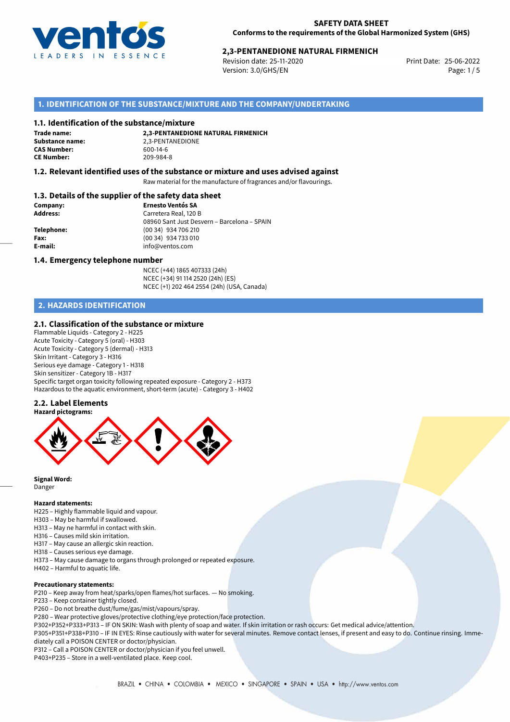

# 25-06-2022 **2,3-PENTANEDIONE NATURAL FIRMENICH**

Revision date: 25-11-2020 Version: 3.0/GHS/EN Page: 1/5

# **1. IDENTIFICATION OF THE SUBSTANCE/MIXTURE AND THE COMPANY/UNDERTAKING**

#### **1.1. Identification of the substance/mixture**

**Trade name: CAS Number: CE Number:** 209-984-8

**2,3-PENTANEDIONE NATURAL FIRMENICH Substance name:** 2,3-PENTANEDIONE<br> **CAS Number:** 600-14-6

## **1.2. Relevant identified uses of the substance or mixture and uses advised against**

Raw material for the manufacture of fragrances and/or flavourings.

### **1.3. Details of the supplier of the safety data sheet**

| Company:        | <b>Ernesto Ventós SA</b>                    |
|-----------------|---------------------------------------------|
| <b>Address:</b> | Carretera Real, 120 B                       |
|                 | 08960 Sant Just Desvern – Barcelona – SPAIN |
| Telephone:      | (00 34) 934 706 210                         |
| Fax:            | (00 34) 934 733 010                         |
| E-mail:         | info@ventos.com                             |
|                 |                                             |

#### **1.4. Emergency telephone number**

NCEC (+44) 1865 407333 (24h) NCEC (+34) 91 114 2520 (24h) (ES) NCEC (+1) 202 464 2554 (24h) (USA, Canada)

# **2. HAZARDS IDENTIFICATION**

### **2.1. Classification of the substance or mixture**

Flammable Liquids - Category 2 - H225 Acute Toxicity - Category 5 (oral) - H303 Acute Toxicity - Category 5 (dermal) - H313 Skin Irritant - Category 3 - H316 Serious eye damage - Category 1 - H318 Skin sensitizer - Category 1B - H317 Specific target organ toxicity following repeated exposure - Category 2 - H373 Hazardous to the aquatic environment, short-term (acute) - Category 3 - H402

#### **2.2. Label Elements**



**Signal Word:** Danger

#### **Hazard statements:**

H225 – Highly flammable liquid and vapour.

- H303 May be harmful if swallowed.
- H313 May ne harmful in contact with skin.
- H316 Causes mild skin irritation.
- H317 May cause an allergic skin reaction.
- H318 Causes serious eye damage.
- H373 May cause damage to organs through prolonged or repeated exposure.
- H402 Harmful to aquatic life.

#### **Precautionary statements:**

P210 – Keep away from heat/sparks/open flames/hot surfaces. — No smoking.

- P233 Keep container tightly closed.
- P260 Do not breathe dust/fume/gas/mist/vapours/spray.
- P280 Wear protective gloves/protective clothing/eye protection/face protection.
- P302+P352+P333+P313 IF ON SKIN: Wash with plenty of soap and water. If skin irritation or rash occurs: Get medical advice/attention.

P305+P351+P338+P310 – IF IN EYES: Rinse cautiously with water for several minutes. Remove contact lenses, if present and easy to do. Continue rinsing. Immediately call a POISON CENTER or doctor/physician.

P312 – Call a POISON CENTER or doctor/physician if you feel unwell.

P403+P235 – Store in a well-ventilated place. Keep cool.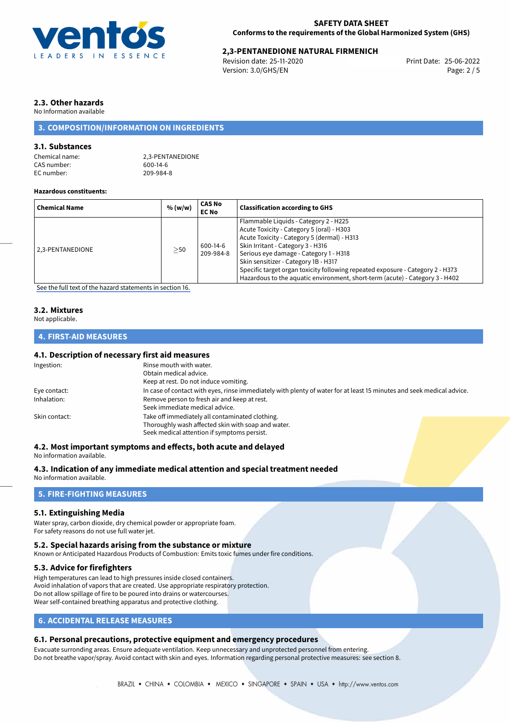

# 25-06-2022 **2,3-PENTANEDIONE NATURAL FIRMENICH**

Revision date: 25-11-2020 Version: 3.0/GHS/EN Page: 2 / 5

# **2.3. Other hazards**

No Information available

# **3. COMPOSITION/INFORMATION ON INGREDIENTS**

# **3.1. Substances**

| Chemical name: |  |
|----------------|--|
| CAS number:    |  |
| EC number:     |  |

2.3-PENTANEDIONE  $600-14-6$ 209-984-8

### **Hazardous constituents:**

| <b>Chemical Name</b> | % (w/w)   | <b>CAS No</b><br><b>EC No</b> | <b>Classification according to GHS</b>                                                                                                                                                                                                                                                                                                                                                                                     |
|----------------------|-----------|-------------------------------|----------------------------------------------------------------------------------------------------------------------------------------------------------------------------------------------------------------------------------------------------------------------------------------------------------------------------------------------------------------------------------------------------------------------------|
| 2.3-PENTANEDIONE     | $\geq$ 50 | 600-14-6<br>209-984-8         | Flammable Liquids - Category 2 - H225<br>Acute Toxicity - Category 5 (oral) - H303<br>Acute Toxicity - Category 5 (dermal) - H313<br>Skin Irritant - Category 3 - H316<br>Serious eye damage - Category 1 - H318<br>Skin sensitizer - Category 1B - H317<br>Specific target organ toxicity following repeated exposure - Category 2 - H373<br>Hazardous to the aquatic environment, short-term (acute) - Category 3 - H402 |

[See the full text of the hazard statements in section 16.](#page-4-0)

# **3.2. Mixtures**

Not applicable.

# **4. FIRST-AID MEASURES**

# **4.1. Description of necessary first aid measures**

| Ingestion:    | Rinse mouth with water.<br>Obtain medical advice.<br>Keep at rest. Do not induce vomiting.                                                           |
|---------------|------------------------------------------------------------------------------------------------------------------------------------------------------|
| Eye contact:  | In case of contact with eyes, rinse immediately with plenty of water for at least 15 minutes and seek medical advice.                                |
| Inhalation:   | Remove person to fresh air and keep at rest.<br>Seek immediate medical advice.                                                                       |
| Skin contact: | Take off immediately all contaminated clothing.<br>Thoroughly wash affected skin with soap and water.<br>Seek medical attention if symptoms persist. |

### **4.2. Most important symptoms and effects, both acute and delayed**

No information available.

**4.3. Indication of any immediate medical attention and special treatment needed**

No information available.

# **5. FIRE-FIGHTING MEASURES**

## **5.1. Extinguishing Media**

Water spray, carbon dioxide, dry chemical powder or appropriate foam. For safety reasons do not use full water jet.

#### **5.2. Special hazards arising from the substance or mixture**

Known or Anticipated Hazardous Products of Combustion: Emits toxic fumes under fire conditions.

## **5.3. Advice for firefighters**

High temperatures can lead to high pressures inside closed containers. Avoid inhalation of vapors that are created. Use appropriate respiratory protection. Do not allow spillage of fire to be poured into drains or watercourses. Wear self-contained breathing apparatus and protective clothing.

# **6. ACCIDENTAL RELEASE MEASURES**

# **6.1. Personal precautions, protective equipment and emergency procedures**

Evacuate surronding areas. Ensure adequate ventilation. Keep unnecessary and unprotected personnel from entering. Do not breathe vapor/spray. Avoid contact with skin and eyes. Information regarding personal protective measures: see section 8.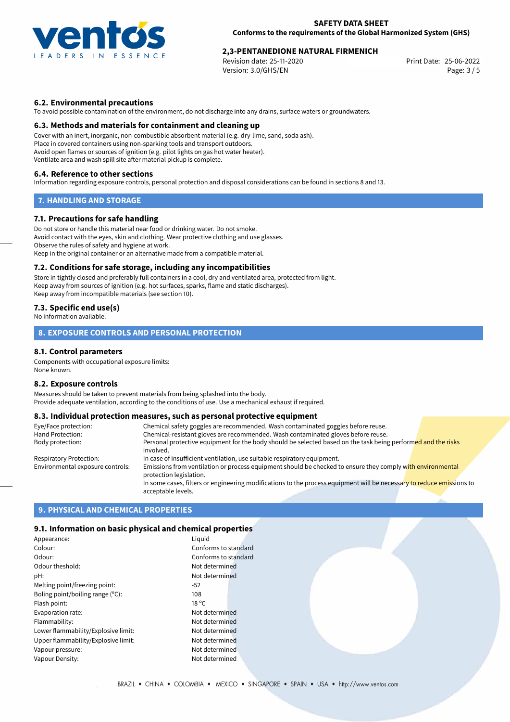

# 25-06-2022 **2,3-PENTANEDIONE NATURAL FIRMENICH**

Revision date: 25-11-2020 Version: 3.0/GHS/EN Page: 3 / 5

# **6.2. Environmental precautions**

To avoid possible contamination of the environment, do not discharge into any drains, surface waters or groundwaters.

## **6.3. Methods and materials for containment and cleaning up**

Cover with an inert, inorganic, non-combustible absorbent material (e.g. dry-lime, sand, soda ash). Place in covered containers using non-sparking tools and transport outdoors. Avoid open flames or sources of ignition (e.g. pilot lights on gas hot water heater). Ventilate area and wash spill site after material pickup is complete.

## **6.4. Reference to other sections**

Information regarding exposure controls, personal protection and disposal considerations can be found in sections 8 and 13.

# **7. HANDLING AND STORAGE**

## **7.1. Precautions for safe handling**

Do not store or handle this material near food or drinking water. Do not smoke. Avoid contact with the eyes, skin and clothing. Wear protective clothing and use glasses. Observe the rules of safety and hygiene at work. Keep in the original container or an alternative made from a compatible material.

## **7.2. Conditions for safe storage, including any incompatibilities**

Store in tightly closed and preferably full containers in a cool, dry and ventilated area, protected from light. Keep away from sources of ignition (e.g. hot surfaces, sparks, flame and static discharges). Keep away from incompatible materials (see section 10).

# **7.3. Specific end use(s)**

No information available.

# **8. EXPOSURE CONTROLS AND PERSONAL PROTECTION**

## **8.1. Control parameters**

Components with occupational exposure limits: None known.

#### **8.2. Exposure controls**

Measures should be taken to prevent materials from being splashed into the body. Provide adequate ventilation, according to the conditions of use. Use a mechanical exhaust if required.

# **8.3. Individual protection measures, such as personal protective equipment**

| Eye/Face protection:             | Chemical safety goggles are recommended. Wash contaminated goggles before reuse.                                                            |
|----------------------------------|---------------------------------------------------------------------------------------------------------------------------------------------|
| Hand Protection:                 | Chemical-resistant gloves are recommended. Wash contaminated gloves before reuse.                                                           |
| Body protection:                 | Personal protective equipment for the body should be selected based on the task being performed and the risks<br>involved.                  |
| Respiratory Protection:          | In case of insufficient ventilation, use suitable respiratory equipment.                                                                    |
| Environmental exposure controls: | Emissions from ventilation or process equipment should be checked to ensure they comply with environmental<br>protection legislation.       |
|                                  | In some cases, filters or engineering modifications to the process equipment will be necessary to reduce emissions to<br>acceptable levels. |

# **9. PHYSICAL AND CHEMICAL PROPERTIES**

## **9.1. Information on basic physical and chemical properties**

| Appearance:                         | Liguid               |
|-------------------------------------|----------------------|
| Colour:                             | Conforms to standard |
| Odour:                              | Conforms to standard |
| Odour theshold:                     | Not determined       |
| pH:                                 | Not determined       |
| Melting point/freezing point:       | $-52$                |
| Boling point/boiling range $(°C)$ : | 108                  |
| Flash point:                        | $18^{\circ}$ C       |
| Evaporation rate:                   | Not determined       |
| Flammability:                       | Not determined       |
| Lower flammability/Explosive limit: | Not determined       |
| Upper flammability/Explosive limit: | Not determined       |
| Vapour pressure:                    | Not determined       |
| Vapour Density:                     | Not determined       |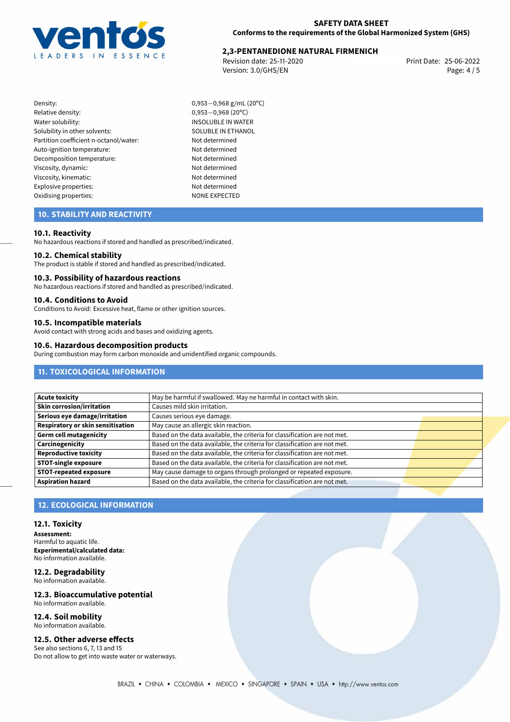

# 25-06-2022 **2,3-PENTANEDIONE NATURAL FIRMENICH**

Revision date: 25-11-2020 Version: 3.0/GHS/EN Page: 4 / 5

- Density: 0,953−0,968 g/mL (20°C)<br>Relative density: 0,953−0,968 (20°C) Relative density: 0,953*−*0,968 (20ºC) Solubility in other solvents: SOLUBLE IN ETHANOL Partition coefficient n-octanol/water: Not determined Auto-ignition temperature: Not determined Decomposition temperature: Not determined Viscosity, dynamic: Not determined Viscosity, kinematic: Not determined Explosive properties: Not determined Oxidising properties: NONE EXPECTED
	- **INSOLUBLE IN WATER**

# **10. STABILITY AND REACTIVITY**

# **10.1. Reactivity**

No hazardous reactions if stored and handled as prescribed/indicated.

#### **10.2. Chemical stability**

The product is stable if stored and handled as prescribed/indicated.

#### **10.3. Possibility of hazardous reactions**

No hazardous reactions if stored and handled as prescribed/indicated.

## **10.4. Conditions to Avoid**

Conditions to Avoid: Excessive heat, flame or other ignition sources.

# **10.5. Incompatible materials**

Avoid contact with strong acids and bases and oxidizing agents.

### **10.6. Hazardous decomposition products**

During combustion may form carbon monoxide and unidentified organic compounds.

# **11. TOXICOLOGICAL INFORMATION**

| May be harmful if swallowed. May ne harmful in contact with skin.         |                                                                    |
|---------------------------------------------------------------------------|--------------------------------------------------------------------|
| Causes mild skin irritation.                                              |                                                                    |
| Causes serious eye damage.                                                |                                                                    |
| May cause an allergic skin reaction.                                      |                                                                    |
| Based on the data available, the criteria for classification are not met. |                                                                    |
| Based on the data available, the criteria for classification are not met. |                                                                    |
| Based on the data available, the criteria for classification are not met. |                                                                    |
| Based on the data available, the criteria for classification are not met. |                                                                    |
|                                                                           |                                                                    |
| Based on the data available, the criteria for classification are not met. |                                                                    |
|                                                                           | May cause damage to organs through prolonged or repeated exposure. |

# **12. ECOLOGICAL INFORMATION**

### **12.1. Toxicity**

**Assessment:** Harmful to aquatic life. **Experimental/calculated data:** No information available.

#### **12.2. Degradability** No information available.

**12.3. Bioaccumulative potential** No information available.

#### **12.4. Soil mobility** No information available.

# **12.5. Other adverse effects**

See also sections 6, 7, 13 and 15 Do not allow to get into waste water or waterways.